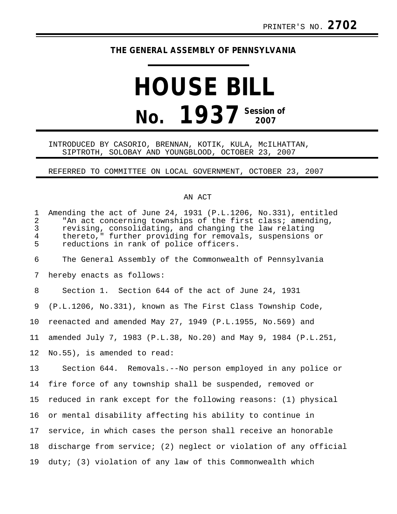## **THE GENERAL ASSEMBLY OF PENNSYLVANIA**

# **HOUSE BILL No. 1937** Session of

#### INTRODUCED BY CASORIO, BRENNAN, KOTIK, KULA, McILHATTAN, SIPTROTH, SOLOBAY AND YOUNGBLOOD, OCTOBER 23, 2007

### REFERRED TO COMMITTEE ON LOCAL GOVERNMENT, OCTOBER 23, 2007

#### AN ACT

| $\mathbf{1}$<br>$\overline{2}$<br>$\mathbf{3}$<br>$\overline{4}$<br>5 | Amending the act of June 24, 1931 (P.L.1206, No.331), entitled<br>"An act concerning townships of the first class; amending,<br>revising, consolidating, and changing the law relating<br>thereto," further providing for removals, suspensions or<br>reductions in rank of police officers. |
|-----------------------------------------------------------------------|----------------------------------------------------------------------------------------------------------------------------------------------------------------------------------------------------------------------------------------------------------------------------------------------|
| 6                                                                     | The General Assembly of the Commonwealth of Pennsylvania                                                                                                                                                                                                                                     |
| 7                                                                     | hereby enacts as follows:                                                                                                                                                                                                                                                                    |
| 8                                                                     | Section 1. Section 644 of the act of June 24, 1931                                                                                                                                                                                                                                           |
| 9                                                                     | (P.L.1206, No.331), known as The First Class Township Code,                                                                                                                                                                                                                                  |
| 10                                                                    | reenacted and amended May 27, 1949 (P.L.1955, No.569) and                                                                                                                                                                                                                                    |
| 11                                                                    | amended July 7, 1983 (P.L.38, No.20) and May 9, 1984 (P.L.251,                                                                                                                                                                                                                               |
| 12                                                                    | No.55), is amended to read:                                                                                                                                                                                                                                                                  |
| 13                                                                    | Section 644. Removals.--No person employed in any police or                                                                                                                                                                                                                                  |
| 14                                                                    | fire force of any township shall be suspended, removed or                                                                                                                                                                                                                                    |
| 15                                                                    | reduced in rank except for the following reasons: (1) physical                                                                                                                                                                                                                               |
| 16                                                                    | or mental disability affecting his ability to continue in                                                                                                                                                                                                                                    |
| 17                                                                    | service, in which cases the person shall receive an honorable                                                                                                                                                                                                                                |
| 18                                                                    | discharge from service; (2) neglect or violation of any official                                                                                                                                                                                                                             |
| 19                                                                    | duty; (3) violation of any law of this Commonwealth which                                                                                                                                                                                                                                    |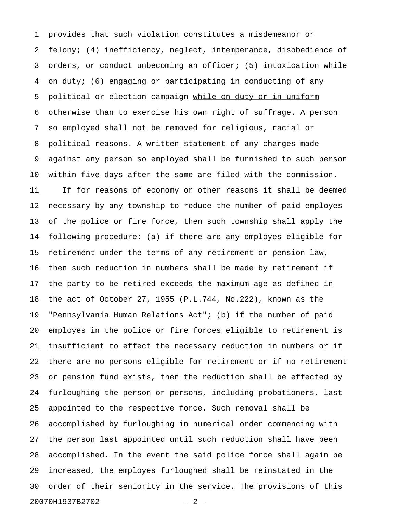1 provides that such violation constitutes a misdemeanor or 2 felony; (4) inefficiency, neglect, intemperance, disobedience of 3 orders, or conduct unbecoming an officer; (5) intoxication while 4 on duty; (6) engaging or participating in conducting of any 5 political or election campaign while on duty or in uniform 6 otherwise than to exercise his own right of suffrage. A person 7 so employed shall not be removed for religious, racial or 8 political reasons. A written statement of any charges made 9 against any person so employed shall be furnished to such person 10 within five days after the same are filed with the commission. 11 If for reasons of economy or other reasons it shall be deemed 12 necessary by any township to reduce the number of paid employes 13 of the police or fire force, then such township shall apply the 14 following procedure: (a) if there are any employes eligible for 15 retirement under the terms of any retirement or pension law, 16 then such reduction in numbers shall be made by retirement if 17 the party to be retired exceeds the maximum age as defined in 18 the act of October 27, 1955 (P.L.744, No.222), known as the 19 "Pennsylvania Human Relations Act"; (b) if the number of paid 20 employes in the police or fire forces eligible to retirement is 21 insufficient to effect the necessary reduction in numbers or if 22 there are no persons eligible for retirement or if no retirement 23 or pension fund exists, then the reduction shall be effected by 24 furloughing the person or persons, including probationers, last 25 appointed to the respective force. Such removal shall be 26 accomplished by furloughing in numerical order commencing with 27 the person last appointed until such reduction shall have been 28 accomplished. In the event the said police force shall again be 29 increased, the employes furloughed shall be reinstated in the 30 order of their seniority in the service. The provisions of this 20070H1937B2702 - 2 -